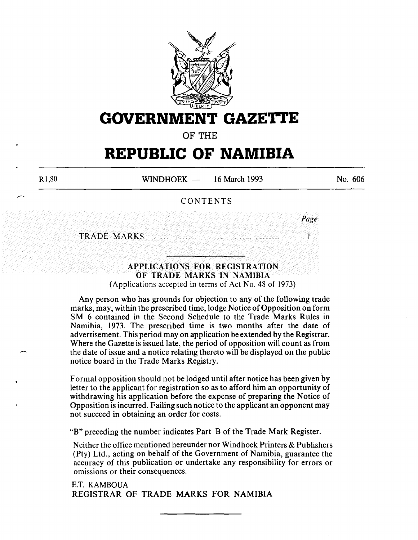

## **GOVERNMENT GAZETI'E**

OF THE

# **REPUBLIC OF NAMIBIA**

WINDHOEK - 16 March 1993

No. 606

*Page* 

 $\mathbf{I}$ 

## CONTENTS

TRADE MARKS .............................................................................................. .

## APPLICATIONS FOR REGISTRATION OF TRADE MARKS IN NAMIBIA (Applications accepted in terms of Act No. 48 of 1973)

Any person who has grounds for objection to any of the following trade marks, may, within the prescribed time, lodge Notice of Opposition on form SM 6 contained in the Second Schedule to the Trade Marks Rules in Namibia, 1973. The prescribed time is two months after the date of advertisement. This period may on application be extended by the Registrar. Where the Gazette is issued late, the period of opposition will count as from the date of issue and a notice relating thereto will be displayed on the public notice board in the Trade Marks Registry.

Formal opposition should not be lodged until after notice has been given by letter to the applicant for registration so as to afford him an opportunity of withdrawing his application before the expense of preparing the Notice of Opposition is incurred. Failing such notice to the applicant an opponent may not succeed in obtaining an order for costs.

"B" preceding the number indicates Part B of the Trade Mark Register.

Neither the office mentioned hereunder nor Windhoek Printers & Publishers (Pty) Ltd., acting on behalf of the Government of Namibia, guarantee the accuracy of this publication or undertake any responsibility for errors or omissions or their consequences.

E.T. KAMBOUA REGISTRAR OF TRADE MARKS FOR NAMIBIA

Rl,80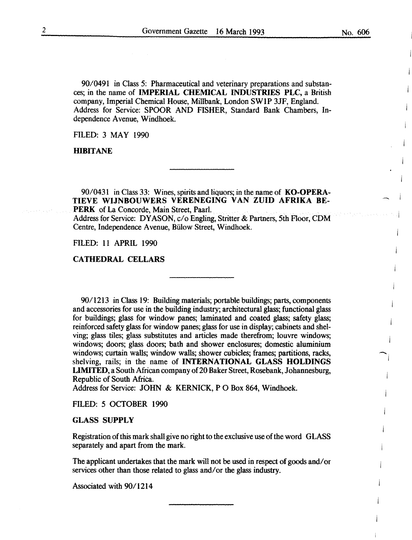90/049I in Class 5: Pharmaceutical and veterinary preparations and substances; in the name of IMPERIAL CHEMICAL INDUSTRIES PLC, a British company, Imperial Chemical House, Millbank, London SWIP 3JF, England. Address for Service: SPOOR AND FISHER, Standard Bank Chambers, Independence A venue, Windhoek.

FILED: 3 MAY 1990

HIBITANE

90/043I in Class 33: Wines, spirits and liquors; in the name of KO-OPERA-TIEVE WIJNBOUWERS VERENEGING VAN ZUID AFRIKA BE-PERK of La Concorde, Main Street, Paarl.

Address for Service: DYASON, c/o Engling, Stritter & Partners, 5th Floor, CDM Centre, Independence A venue, Biilow Street, Windhoek.

FILED: II APRIL I990

CATHEDRAL CELLARS

90/1213 in Class I9: Building materials; portable buildings; parts, components and accessories for use in the building industry; architectural glass; functional glass for buildings; glass for window panes; laminated and coated glass; safety glass; reinforced safety glass for window panes; glass for use in display; cabinets and shelving; glass tiles; glass substitutes and articles made therefrom; louvre windows; windows; doors; glass doors; bath and shower enclosures; domestic aluminium windows; curtain walls; window walls; shower cubicles; frames; partitions, racks, shelving, rails; in the name of INTERNATIONAL GLASS HOLDINGS LIMITED, a South African company of 20 Baker Street, Rosebank, Johannesburg, Republic of South Africa.

Address for Service: JOHN & KERNICK, P 0 Box 864, Windhoek.

FILED: 5 OCTOBER 1990

#### GLASS SUPPLY

Registration of this mark shall give no right to the exclusive use of the word GLASS separately and apart from the mark.

The applicant undertakes that the mark will not be used in respect of goods and/ or services other than those related to glass and/or the glass industry.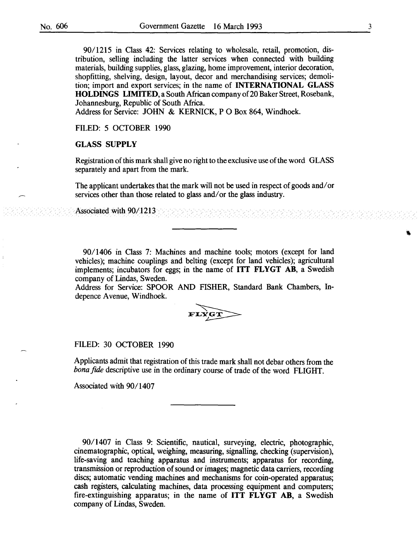90/1215 in Class 42: Services relating to wholesale, retail, promotion, distribution, selling including the latter services when connected with building materials, building supplies, glass, glazing, home improvement, interior decoration, shopfitting, shelving, design, layout, decor and merchandising services; demolition; import and export services; in the name of INTERNATIONAL GLASS HOLDINGS LIMITED, a South African company of 20 Baker Street, Rosebank, Johannesburg, Republic of South Africa.

Address for Service: JOHN & KERNICK, P O Box 864, Windhoek.

FILED: 5 OCTOBER 1990

## GLASS SUPPLY

Registration of this mark shall give no right to the exclusive use of the word GLASS separately and apart from the mark.

The applicant undertakes that the mark will not be used in respect of goods and/ or services other than those related to glass and/ or the glass industry.

Associated with 90/1213 //~/./ /

9011406 in Class 7: Machines and machine tools; motors (except for land vehicles); machine couplings and belting (except for land vehicles); agricultural implements; incubators for eggs; in the name of ITT FLYGT AB, a Swedish company of Lindas, Sweden.

Address for Service: SPOOR AND FISHER, Standard Bank Chambers, Indepence Avenue, Windhoek.



#### FILED: 30 OCTOBER 1990

Applicants admit that registration of this trade mark shall not debar others from the *bona fide* descriptive use in the ordinary course of trade of the word FLIGHT.

Associated with 90/1407

90/1407 in Class 9: Scientific, nautical, surveying, electric, photographic, cinematographic, optical, weighing, measuring, signalling, checking (supervision), life-saving and teaching apparatus and instruments; apparatus for recording, transmission or reproduction of sound or images; magnetic data carriers, recording discs; automatic vending machines and mechanisms for coin-operated apparatus; cash registers, calculating machines, data processing equipment and computers; fire-extinguishing apparatus; in the name of ITT FLYGT AB, a Swedish company of Lindas, Sweden.

 $\ell \times \ell$  :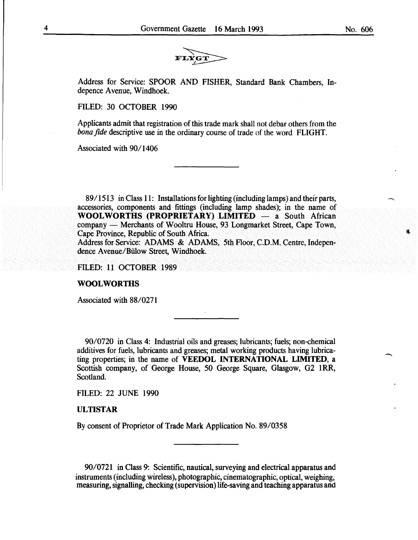

Address for Service: SPOOR AND FISHER, Standard Bank Chambers, Indepence Avenue, Windhoek.

FILED: 30 OCTOBER I990

Applicants admit that registration of this trade mark shall not debar others from the *bona fide* descriptive use in the ordinary course of trade of the word FLIGHT.

Associated with 90/1406

89/1513 in Class 11: Installations for lighting (including lamps) and their parts, accessories, components and fittings (including lamp shades); in the name of **WOOLWORTHS (PROPRIETARY) LIMITED** - a South African company — Merchants of Wooltru House, 93 Longmarket Street, Cape Town, Cape Province, Republic of South Africa.

Address for Service: ADAMS & ADAMS, 5th Floor, C.D.M. Centre, Independence Avenue/Billow Street, Windhoek.

FILED: Il OCTOBER I989

#### **WOOL WORmS**

Associated with 88/0271

90/0720 in Class 4: Industrial oils and greases; lubricants; fuels; non-chemical additives for fuels, lubricants and greases; metal working products having lubricating properties; in the name of **VEEDOL INTERNATIONAL LIMITED,** a Scottish company, of George House, 50 George Square, Glasgow, G2 IRR, Scotland.

FILED: 22 JUNE I990

#### **ULTISTAR**

By consent of Proprietor of Trade Mark Application No. 89/0358

90/072I in Class 9: Scientific, nautical, surveying and electrical apparatus and instruments (including wireless), photographic, cinematographic, optical, weighing, measuring, signalling, checking (supervision) life-saving and teaching apparatus and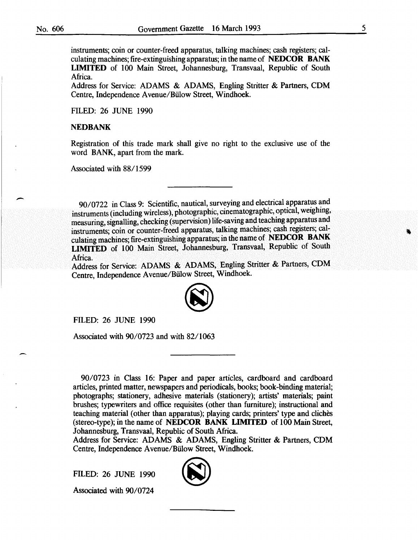instruments; coin or counter-freed apparatus, talking machines; cash registers; calculating machines; fire-extinguishing apparatus; in the name of NEDCOR BANK LIMITED of 100 Main Street, Johannesburg, Transvaal, Republic of South Africa.

Address for Service: ADAMS & ADAMS, Engling Stritter & Partners, CDM Centre, Independence A venue/Biilow Street, Windhoek.

FILED: 26 JUNE 1990

## **NEDBANK**

Registration of this trade mark shall give no right to the exclusive use of the word BANK, apart from the mark.

Associated with 88/1599

90/0722 in Class 9: Scientific, nautical, surveying and electrical apparatus and instruments (including wireless), photographic, cinematographic, optical, weighing, measuring, signalling, checking (supervision) life-saving and teaching apparatus and instruments; coin or counter-freed apparatus, talking machines; cash registers; calculating machines; fire-extinguishing apparatus; in the name of NEDCOR BANK LIMITED of 100 Main Street, Johannesburg, Transvaal, Republic of South Africa.

Address for Service: ADAMS & ADAMS, Engling Stritter & Partners, CDM Centre, Independence A venue/Biilow Street, Windhoek.



FILED: 26 JUNE 1990

Associated with 90/0723 and with 82/1063

90/0723 in Class 16: Paper and paper articles, cardboard and cardboard articles, printed matter, newspapers and periodicals, books; book-binding material; photographs; stationery, adhesive materials (stationery); artists' materials; paint brushes; typewriters and office requisites (other than furniture); instructional and teaching material (other than apparatus); playing cards; printers' type and cliches (stereo-type); in the name of NEDCOR BANK LIMITED of 100 Main Street, Johannesburg, Transvaal, Republic of South Africa.

Address for Service: ADAMS & ADAMS, Engling Stritter & Partners, CDM Centre, Independence A venue/Biilow Street, Windhoek.

FILED: 26 JUNE 1990

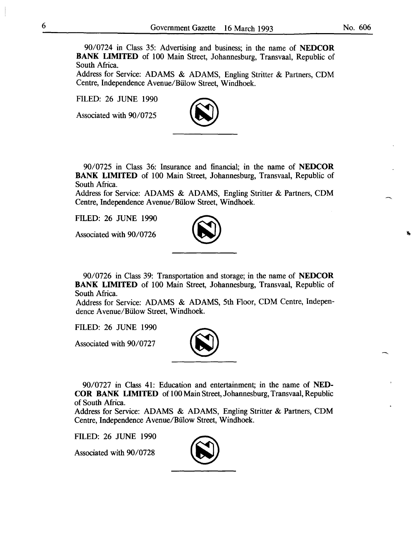90/0724 in Class 35: Advertising and business; in the name of **NEDCOR BANK LIMITED** of 100 Main Street, Johannesburg, Transvaal, Republic of South Africa.

Address for Service: ADAMS & ADAMS, Engling Stritter & Partners, COM Centre, Independence A venue/Biilow Street, Windhoek.

FILED: 26 JUNE 1990

Associated with 90/0725



90/0725 in Class 36: Insurance and financial; in the name of **NEDCOR BANK LIMITED** of 100 Main Street, Johannesburg, Transvaal, Republic of South Africa.

Address for Service: ADAMS & ADAMS, Engling Stritter & Partners, COM Centre, Independence A venue/Biilow Street, Windhoek.

FILED: 26 JUNE 1990

Associated with 90/0726



90/0726 in Class 39: Transportation and storage; in the name of **NEDCOR BANK LIMITED** of 100 Main Street, Johannesburg, Transvaal, Republic of South Africa.

Address for Service: ADAMS & ADAMS, 5th Floor, COM Centre, Independence A venue/Biilow Street, Windhoek.

FILED: 26 JUNE 1990

Associated with 90/0727



90/0727 in Class 41: Education and entertainment; in the name of **NED-COR BANK LIMITED** of 100 Main Street, Johannesburg, Transvaal, Republic of South Africa.

Address for Service: ADAMS & ADAMS, Engling Stritter & Partners, COM Centre, Independence Avenue/Biilow Street, Windhoek.

FILED: 26 JUNE 1990

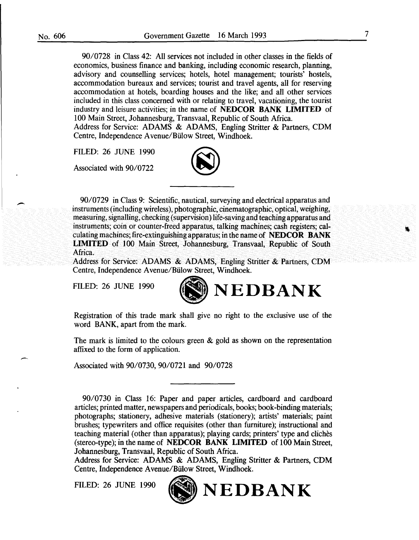90/0728 in Class 42: All services not included in other classes in the fields of economics, business finance and banking, including economic research, planning, advisory and counselling services; hotels, hotel management; tourists' hostels, accommodation bureaux and services; tourist and travel agents, all for reserving accommodation at hotels, boarding houses and the like; and all other services included in this class concerned with or relating to travel, vacationing, the tourist industry and leisure activities; in the name of NEDCOR BANK LIMITED of 100 Main Street, Johannesburg, Transvaal, Republic of South Africa. Address for Service: ADAMS & ADAMS, Engling Stritter & Partners, COM Centre, Independence A venue/Biilow Street, Windhoek.

FILED: 26 JUNE 1990

Associated with 90/0722



90/0729 in Class 9: Scientific, nautical, surveying and electrical apparatus and instruments (including wireless), photographic, cinematographic, optical, weighing, measuring, signalling, checking (supervision) life-saving and teaching apparatus and instruments; coin or counter-freed apparatus, talking machines; cash registers; calculating machines; fire-extinguishing apparatus; in the name of NEDCOR BANK LIMITED of 100 Main Street, Johannesburg, Transvaal, Republic of South Africa.

Address for Service: ADAMS & ADAMS, Engling Stritter & Partners, COM Centre, Independence A venue/Biilow Street, Windhoek.

FILED: 26 JUNE 1990



Registration of this trade mark shall give no right to the exclusive use of the word BANK, apart from the mark.

The mark is limited to the colours green  $\&$  gold as shown on the representation affixed to the form of application.

Associated with 90/0730, 90/0721 and 90/0728

Address for Service: ADAMS & ADAMS, Engling Stritter & Partners, COM Centre, Independence A venue/Biilow Street, Windhoek.



FILED: 26 JUNE 1990 (ND NEDBANK

<sup>90/0730</sup> in Class 16: Paper and paper articles, cardboard and cardboard articles; printed matter, newspapers and periodicals, books; book-binding materials; photographs; stationery, adhesive materials (stationery); artists' materials; paint brushes; typewriters and office requisites (other than furniture); instructional and teaching material (other than apparatus); playing cards; printers' type and cliches (stereo-type); in the name of NEDCOR BANK LIMITED of 100 Main Street, Johannesburg, Transvaal, Republic of South Africa.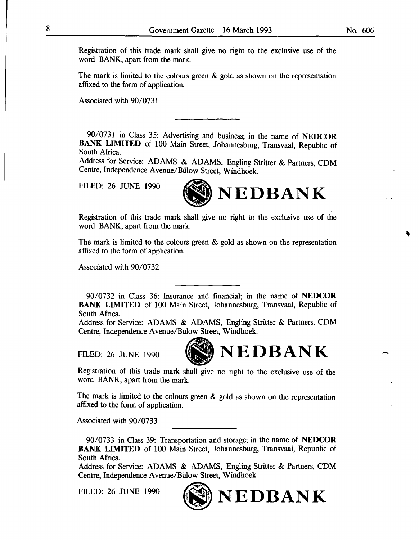Registration of this trade mark shall give no right to the exclusive use of the word BANK, apart from the mark.

The mark is limited to the colours green & gold as shown on the representation affixed to the form of application.

Associated with 90/0731

90/0731 in Class 35: Advertising and business; in the name of NEDCOR BANK LIMITED of 100 Main Street, Johannesburg, Transvaal, Republic of South Africa.

Address for Service: ADAMS & ADAMS, Engling Stritter & Partners, CDM Centre, Independence Avenue/Biilow Street, Windhoek.



Registration of this trade mark shall give no right to the exclusive use of the word BANK, apart from the mark.

The mark is limited to the colours green & gold as shown on the representation affixed to the form of application.

Associated with 90/0732

90/0732 in Class 36: Insurance and financial; in the name of NEDCOR BANK LIMITED of 100 Main Street, Johannesburg, Transvaal, Republic of South Africa.

Address for Service: ADAMS & ADAMS, Engling Stritter & Partners, CDM Centre, Independence A venue/Biilow Street, Windhoek.



Registration of this trade mark shall give no right to the exclusive use of the word BANK, apart from the mark.

The mark is limited to the colours green & gold as shown on the representation affixed to the form of application.

Associated with 90/0733

90/0733 in Class 39: Transportation and storage; in the name of NEDCOR BANK LIMITED of 100 Main Street, Johannesburg, Transvaal, Republic of South Africa.

Address for Service: ADAMS & ADAMS, Engling Stritter & Partners, CDM Centre, Independence Avenue/Biilow Street, Windhoek.

FILED: 26 JUNE 1990



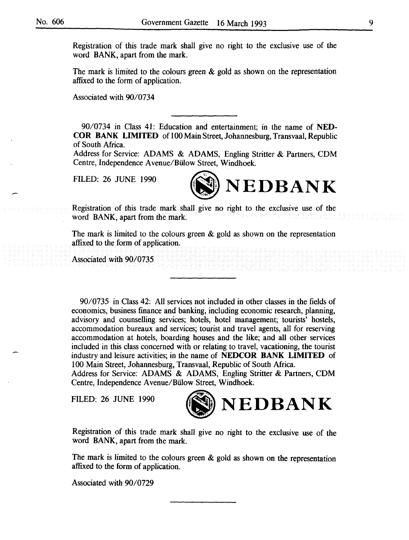Registration of this trade mark shall give no right to the exclusive use of the word BANK, apart from the mark.

The mark is limited to the colours green  $\&$  gold as shown on the representation affixed to the form of application.

Associated with 90/0734

90/0734 in Class 41: Education and entertainment; in the name of NED-COR BANK LIMITED of 100 Main Street, Johannesburg, Transvaal, Republic of South Africa.

Address for Service: ADAMS & ADAMS, Engling Stritter & Partners, CDM Centre, Independence A venue/Biilow Street, Windhoek.

FILED: 26 JUNE 1990



Registration of this trade mark shall give no right to the exclusive use of the word BANK, apart from the mark.

The mark is limited to the colours green  $\&$  gold as shown on the representation affixed to the form of application.

Associated with 90/0735

90/0735 in Class 42: All services not included in other classes in the fields of economics, business finance and banking, including economic research, planning, advisory and counselling services; hotels, hotel management; tourists' hostels, accommodation bureaux and services; tourist and travel agents, all for reserving accommodation at hotels, boarding houses and the like; and all other services included in this class concerned with or relating to travel, vacationing, the tourist industry and leisure activities; in the name of NEDCOR BANK LIMITED of 100 Main Street, Johannesburg, Transvaal, Republic of South Africa.

Address for Service: ADAMS & ADAMS, Engling Stritter & Partners, CDM Centre, Independence A venue/Biilow Street, Windhoek.



Registration of this trade mark shall give no right to the exclusive use of the word BANK, apart from the mark.

The mark is limited to the colours green & gold as shown on the representation affixed to the form of application.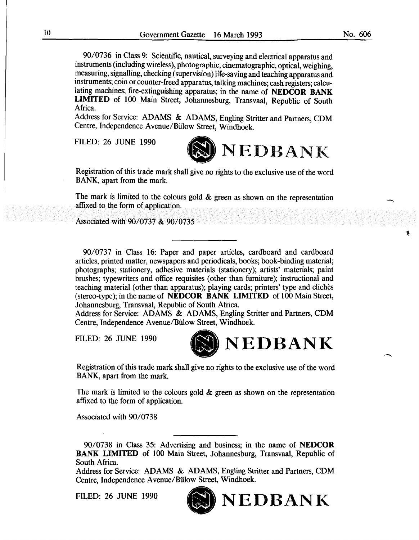90/0736 in Class 9: Scientific, nautical, surveying and electrical apparatus and instruments (including wireless), photographic, cinematographic, optical, weighing, measuring, signalling, checking (supervision) life-saving and teaching apparatus and instruments; coin or counter-freed apparatus, talking machines; cash registers; calculating machines; fire-extinguishing apparatus; in the name of **NEDCOR BANK LIMITED** of 100 Main Street, Johannesburg, Transvaal, Republic of South Africa.

Address for Service: ADAMS & ADAMS, Engling Stritter and Partners, CDM Centre, Independence Avenue/Biilow Street, Windhoek.

FILED: 26 JUNE 1990



Registration of this trade mark shall give no rights to the exclusive use of the word BANK, apart from the mark.

The mark is limited to the colours gold  $\&$  green as shown on the representation affixed to the form of application.

Associated with 90/0737 & 90/0735

90/0737 in Class 16: Paper and paper articles, cardboard and cardboard articles, printed matter, newspapers and periodicals, books; book-binding material; photographs; stationery, adhesive materials (stationery); artists' materials; paint brushes; typewriters and office requisites (other than furniture); instructional and teaching material (other than apparatus); playing cards; printers' type and cliches (stereo-type); in the name of **NEDCOR BANK LIMITED** of 100 Main Street, Johannesburg, Transvaal, Republic of South Africa.

Address for Service: ADAMS & ADAMS, Engling Stritter and Partners, CDM Centre, Independence Avenue/Biilow Street, Windhoek.



Registration of this trade mark shall give no rights to the exclusive use of the word BANK, apart from the mark.

The mark is limited to the colours gold & green as shown on the representation affixed to the form of application.

Associated with 90/0738

90/0738 in Class 35: Advertising and business; in the name of **NEDCOR BANK LIMITED** of 100 Main Street, Johannesburg, Transvaal, Republic of South Africa.

Address for Service: ADAMS & ADAMS, Engling Stritter and Partners, CDM Centre, Independence A venue/Biilow Street, Windhoek.

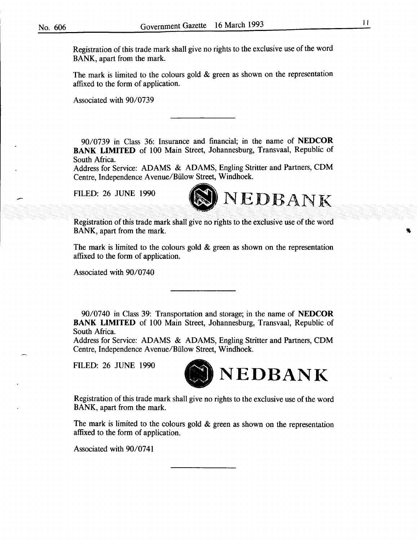Registration of this trade mark shall give no rights to the exclusive use of the word BANK, apart from the mark.

The mark is limited to the colours gold  $\&$  green as shown on the representation affixed to the form of application.

Associated with 90/0739

90/0739 in Class 36: Insurance and financial; in the name of **NEDCOR BANK LIMITED** of 100 Main Street, Johannesburg, Transvaal, Republic of South Africa.

Address for Service: ADAMS & ADAMS, Engling Stritter and Partners, CDM Centre, Independence A venue/Biilow Street, Windhoek.



Registration of this trade mark shall give no rights to the exclusive use of the word BANK, apart from the mark.

The mark is limited to the colours gold  $\&$  green as shown on the representation affixed to the form of application.

Associated with 90/0740

90/0740 in Class 39: Transportation and storage; in the name of **NEDCOR BANK LIMITED** of 100 Main Street, Johannesburg, Transvaal, Republic of South Africa.

Address for Service: ADAMS & ADAMS, Engling Stritter and Partners, CDM Centre, Independence A venue/Biilow Street, Windhoek.



Registration of this trade mark shall give no rights to the exclusive use of the word BANK, apart from the mark.

The mark is limited to the colours gold  $\&$  green as shown on the representation affixed to the form of application.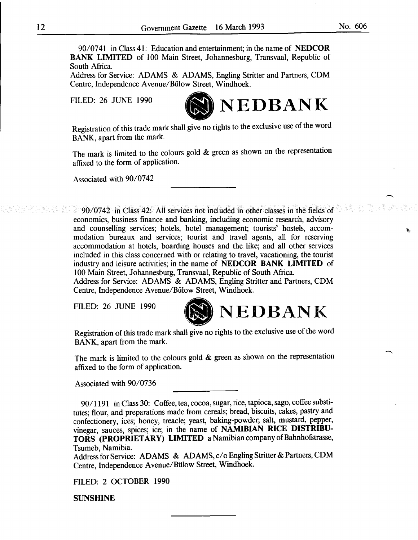No. 606

90/0741 in Class 41: Education and entertainment; in the name of NEDCOR BANK LIMITED of 100 Main Street, Johannesburg, Transvaal, Republic of South Africa.

Address for Service: ADAMS & ADAMS, Engling Stritter and Partners, CDM Centre, Independence A venue/Biilow Street, Windhoek .

FILED: 26 JUNE 1990



Registration of this trade mark shall give no rights to the exclusive use of the word BANK, apart from the mark.

The mark is limited to the colours gold & green as shown on the representation affixed to the form of application.

Associated with 90/0742

90/0742 in Class 42: All services not included in other classes in the fields of economics, business finance and banking, including economic research, advisory and counselling services; hotels, hotel management; tourists' hostels, accommodation bureaux and services; tourist and travel agents, all for reserving accommodation at hotels, boarding houses and the like; and all other services included in this class concerned with or relating to travel, vacationing, the tourist industry and leisure activities; in the name of NEDCOR BANK LIMITED of 100 Main Street, Johannesburg, Transvaal, Republic of South Africa. Address for Service: ADAMS & ADAMS, Engling Stritter and Partners, CDM

Centre, Independence A venue/Biilow Street, Windhoek.



Registration of this trade mark shall give no rights to the exclusive use of the word BANK, apart from the mark.

The mark is limited to the colours gold & green as shown on the representation affixed to the form of application.

Associated with 90/0736

90/1191 in Class 30: Coffee, tea, cocoa, sugar, rice, tapioca, sago, coffee substitutes; flour, and preparations made from cereals; bread, biscuits, cakes, pastry and confectionery, ices; honey, treacle; yeast, baking-powder; salt, mustard, pepper, vinegar, sauces, spices; ice; in the name of NAMIBIAN RICE DISTRIBU-TORS (PROPRIETARY) LIMITED a Namibian company of Bahnhofstrasse, Tsumeb, Namibia.

Address for Service: ADAMS & ADAMS, c/o Engling Stritter & Partners, CDM Centre, Independence A venue/Biilow Street, Windhoek.

FILED: 2 OCTOBER 1990

SUNSHINE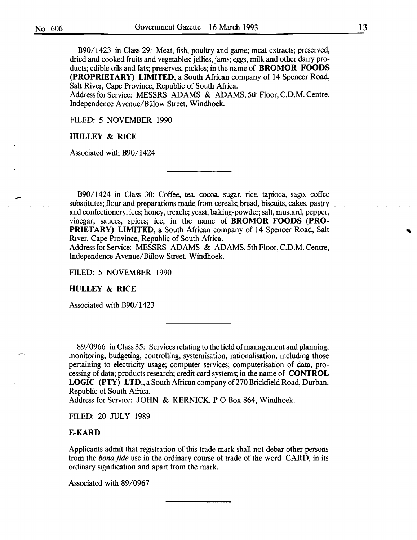B90/ 1423 in Class 29: Meat, fish, poultry and game; meat extracts; preserved, dried and cooked fruits and vegetables; jellies, jams; eggs, milk and other dairy products; edible oils and fats; preserves, pickles; in the name of **BROMOR FOODS (PROPRIETARY) LIMITED,** a South African company of **14** Spencer Road, Salt River, Cape Province, Republic of South Africa.

Address for Service: MESSRS ADAMS & ADAMS, 5th Floor, C.D.M. Centre, Independence A venue/Biilow Street, Windhoek.

FILED: 5 NOVEMBER 1990

## **HULLEY & RICE**

Associated with B90/1424

B90/1424 in Class 30: Coffee, tea, cocoa, sugar, rice, tapioca, sago, coffee substitutes; flour and preparations made from cereals; bread, biscuits, cakes, pastry and confectionery, ices; honey, treacle; yeast, baking-powder; salt, mustard, pepper, vinegar, sauces, spices; ice; in the name of **BROMOR FOODS (PRO-PRIETARY) LIMITED,** a South African company of **14** Spencer Road, Salt River, Cape Province, Republic of South Africa.

Address for Service: MESSRS ADAMS & ADAMS, 5th Floor, C.D.M. Centre, Independence A venue/Biilow Street, Windhoek.

FILED: 5 NOVEMBER 1990

**HULLEY & RICE** 

Associated with B90/ 1423

89/0966 in Class 35: Services relating to the field of management and planning, monitoring, budgeting, controlling, systemisation, rationalisation, including those pertaining to electricity usage; computer services; computerisation of data, processing of data; products research; credit card systems; in the name of **CONTROL LOGIC (PTY) LTD.,** a South African company of 270 Brickfield Road, Durban, Republic of South Africa.

Address for Service: JOHN & KERNICK, PO Box 864, Windhoek.

FILED: 20 JULY 1989

## **E-KARD**

Applicants admit that registration of this trade mark shall not debar other persons from the *bona fide* use in the ordinary course of trade of the word CARD, in its ordinary signification and apart from the mark.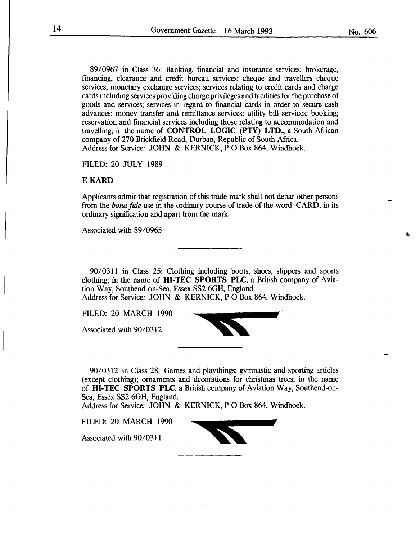89/0967 in Class 36: Banking, financial and insurance services; brokerage, financing, clearance and credit bureau services; cheque and travellers cheque services; monetary exchange services; services relating to credit cards and charge cards including services providing charge privileges and facilities for the purchase of goods and services; services in regard to financial cards in order to secure cash advances; money transfer and remittance services; utility bill services; booking; reservation and financial services including those relating to accommodation and travelling; in the name of **CONTROL LOGIC (PTY) LTD.,** a South African company of 270 Brickfield Road, Durban, Republic of South Africa. Address for Service: JOHN & KERNICK, P 0 Box 864, Windhoek.

FILED: 20 JULY 1989

## **E-KARD**

Applicants admit that registration of this trade mark shall not debar other persons from the *bona fide* use in the ordinary course of trade of the word CARD, in its ordinary signification and apart from the mark.

Associated with 89/0965

90/0311 in Class 25: Clothing including boots, shoes, slippers and sports clothing; in the name of **HI-TEC SPORTS PLC,** a British company of Aviation Way, Southend-on-Sea, Essex SS2 6GH, England. Address for Service: JOHN & KERNICK, P 0 Box 864, Windhoek.

FILED: 20 MARCH 1990

Associated with 90/0312

90/0312 in Class 28: Games and playthings; gymnastic and sporting articles (except clothing); ornaments and decorations for christmas trees; in the name of **HI-TEC SPORTS PLC,** a British company of Aviation Way, Southend-on-Sea, Essex SS2 6GH, England.

Address for Service: JOHN & KERNICK, P 0 Box 864, Windhoek.

FILED: 20 MARCH 1990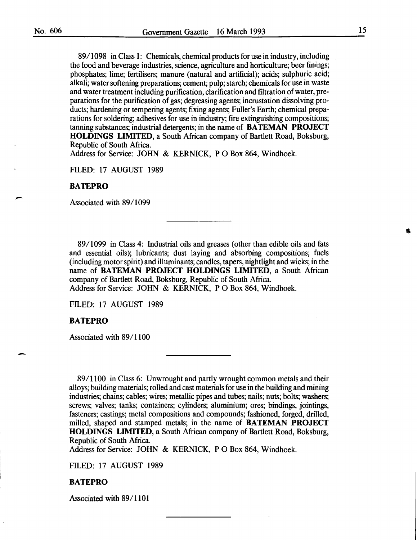89/1098 in Class 1: Chemicals, chemical products for use in industry, including the food and beverage industries, science, agriculture and horticulture; beer finings; phosphates; lime; fertilisers; manure (natural and artificial); acids; sulphuric acid; alkali; water softening preparations; cement; pulp; starch; chemicals for use in waste and water treatment including purification, clarification and filtration of water, preparations for the purification of gas; degreasing agents; incrustation dissolving products; hardening or tempering agents; fixing agents; Fuller's Earth; chemical preparations for soldering; adhesives for use in industry; fire extinguishing compositions; tanning substances; industrial detergents; in the name of BATEMAN PROJECT HOLDINGS LIMITED, a South African company of Bartlett Road, Boksburg, Republic of South Africa.

Address for Service: JOHN & KERNICK, P 0 Box 864, Windhoek.

FILED: 17 AUGUST 1989

#### BATEPRO

Associated with 89/1099

89/1099 in Class 4: Industrial oils and greases (other than edible oils and fats and essential oils); lubricants; dust laying and absorbing compositions; fuels (including motor spirit) and illuminants; candles, tapers, nightlight and wicks; in the name of BATEMAN PROJECT HOLDINGS LIMITED, a South African company of Bartlett Road, Boksburg, Republic of South Africa. Address for Service: JOHN & KERNICK, PO Box 864, Windhoek.

FILED: 17 AUGUST 1989

#### BATEPRO

-

Associated with 89/1100

89/1100 in Class 6: Unwrought and partly wrought common metals and their alloys; building materials; rolled and cast materials for use in the building and mining industries; chains; cables; wires; metallic pipes and tubes; nails; nuts; bolts; washers; screws; valves; tanks; containers; cylinders; aluminium; ores; bindings, jointings, fasteners; castings; metal compositions and compounds; fashioned, forged, drilled, milled, shaped and stamped metals; in the name of BATEMAN PROJECT HOLDINGS LIMITED, a South African company of Bartlett Road, Boksburg, Republic of South Africa.

Address for Service: JOHN & KERNICK, P 0 Box 864, Windhoek.

FILED: 17 AUGUST 1989

#### BATEPRO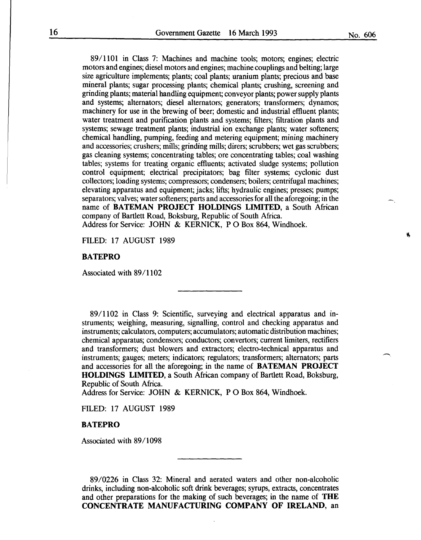89/1101 in Class 7: Machines and machine tools; motors; engines; electric motors and engines; diesel motors and engines; machine couplings and belting; large size agriculture implements; plants; coal plants; uranium plants; precious and base mineral plants; sugar processing plants; chemical plants; crushing, screening and grinding plants; material handling equipment; conveyor plants; power supply plants and systems; alternators; diesel alternators; generators; transformers; dynamos; machinery for use in the brewing of beer; domestic and industrial effluent plants; water treatment and purification plants and systems; filters; filtration plants and systems; sewage treatment plants; industrial ion exchange plants; water softeners; chemical handling, pumping, feeding and metering equipment; mining machinery and accessories; crushers; mills; grinding mills; dirers; scrubbers; wet gas scrubbers; gas cleaning systems; concentrating tables; ore concentrating tables; coal washing tables; systems for treating organic effluents; activated sludge systems; pollution control equipment; electrical precipitators; bag filter systems; cyclonic dust collectors; loading systems; compressors; condensers; boilers; centrifugal machines; elevating apparatus and equipment; jacks; lifts; hydraulic engines; presses; pumps; separators; valves; water softeners; parts and accessories for all the aforegoing; in the name of **BATEMAN PROJECT HOLDINGS LIMITED,** a South African company of Bartlett Road, Boksburg, Republic of South Africa. Address for Service: JOHN & KERNICK, PO Box 864, Windhoek.

FILED: 17 AUGUST 1989

#### **BATEPRO**

Associated with 89/1102

89/1102 in Class 9: Scientific, surveying and electrical apparatus and instruments; weighing, measuring, signalling, control and checking apparatus and instruments; calculators, computers; accumulators; automatic distribution machines; chemical apparatus; condensors; conductors; convertors; current limiters, rectifiers and transformers; dust blowers and extractors; electro-technical apparatus and instruments; gauges; meters; indicators; regulators; transformers; alternators; parts and accessories for all the aforegoing; in the name of **BATEMAN PROJECT HOLDINGS LIMITED,** a South African company of Bartlett Road, Boksburg, Republic of South Africa.

Address for Service: JOHN & KERNICK, P 0 Box 864, Windhoek.

FILED: 17 AUGUST 1989

**BATEPRO** 

Associated with 89/1098

89/0226 in Class 32: Mineral and aerated waters and other non-alcoholic drinks, including non-alcoholic soft drink beverages; syrups, extracts, concentrates and other preparations for the making of such beverages; in the name of **THE CONCENTRATE MANUFACTURING COMPANY OF IRELAND,** an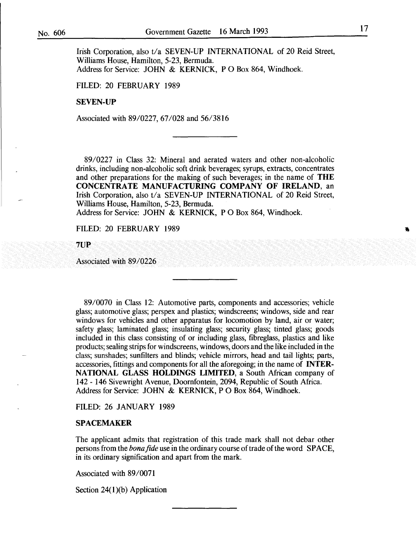Irish Corporation, also t/a SEVEN-UP INTERNATIONAL of 20 Reid Street, Williams House, Hamilton, 5-23, Bermuda. Address for Service: JOHN & KERNICK, P O Box 864, Windhoek.

FILED: 20 FEBRUARY 1989

#### SEVEN-UP

Associated with 89/0227, 67/028 and 56/3816

89/0227 in Class 32: Mineral and aerated waters and other non-alcoholic drinks, including non-alcoholic soft drink beverages; syrups, extracts, concentrates and other preparations for the making of such beverages; in the name of THE CONCENTRATE MANUFACTURING COMPANY OF IRELAND, an Irish Corporation, also t/a SEVEN-UP INTERNATIONAL of 20 Reid Street, Williams House, Hamilton, 5-23, Bermuda.

Address for Service: JOHN & KERNICK, PO Box 864, Windhoek.

FILED: 20 FEBRUARY 1989

7UP

Associated with 89/0226

89/0070 in Class 12: Automotive parts, components and accessories; vehicle glass; automotive glass; perspex and plastics; windscreens; windows, side and rear windows for vehicles and other apparatus for locomotion by land, air or water; safety glass; laminated glass; insulating glass; security glass; tinted glass; goods included in this class consisting of or including glass, fibreglass, plastics and like products; sealing strips for windscreens, windows, doors and the like included in the class; sunshades; sunfilters and blinds; vehicle mirrors, head and tail lights; parts, accessories, fittings and components for all the aforegoing; in the name of INTER-NATIONAL GLASS HOLDINGS LIMITED, a South African company of 142- 146 Sivewright Avenue, Doornfontein, 2094, Republic of South Africa. Address for Service: JOHN & KERNICK, P 0 Box 864, Windhoek.

FILED: 26 JANUARY 1989

#### SPACEMAKER

The applicant admits that registration of this trade mark shall not debar other persons from the *bona fide* use in the ordinary course of trade of the word SPACE, in its ordinary signification and apart from the mark.

Associated with 89/0071

Section  $24(1)(b)$  Application